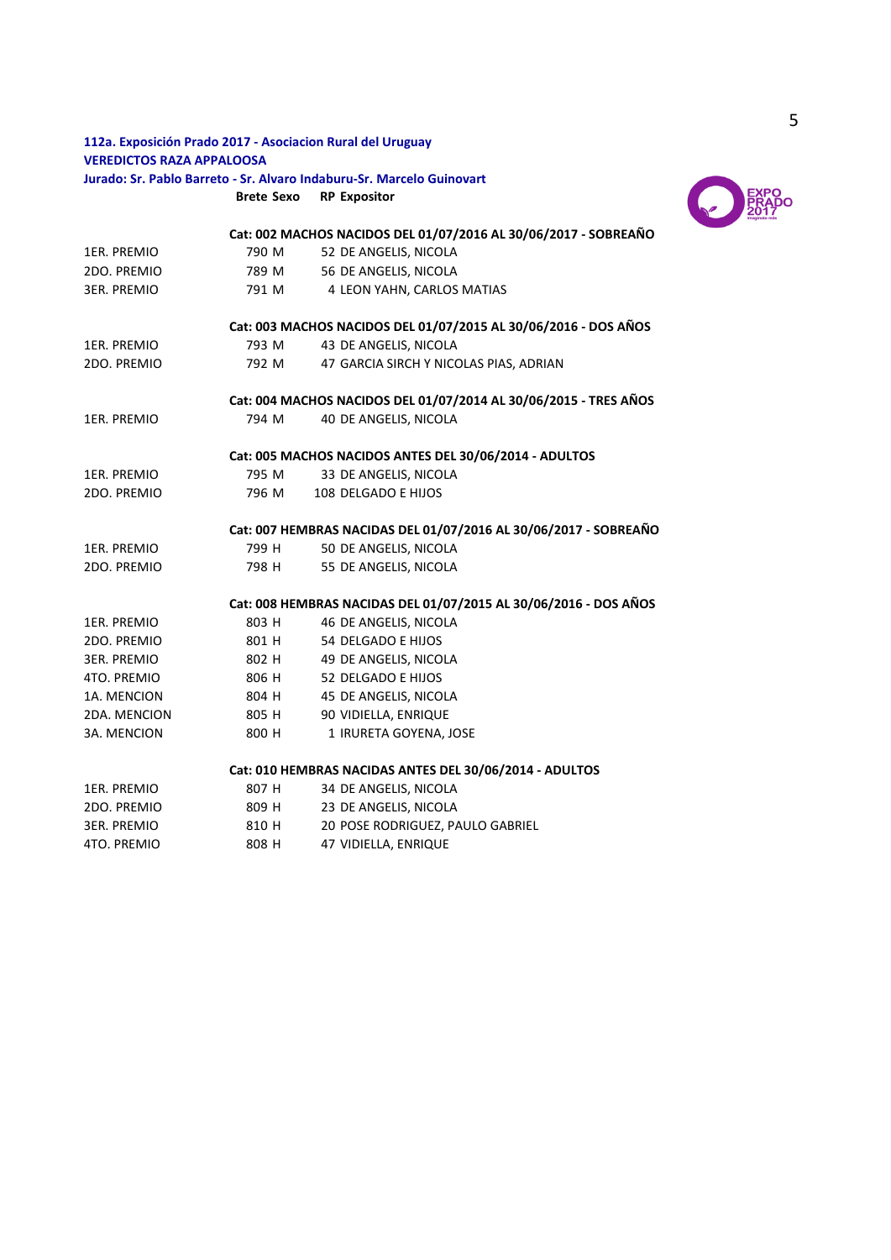## **112a. Exposición Prado 2017 - Asociacion Rural del Uruguay VEREDICTOS RAZA APPALOOSA Jurado: Sr. Pablo Barreto - Sr. Alvaro Indaburu-Sr. Marcelo Guinovart**

**Brete Sexo RP Expositor**



|                    |       | Cat: 002 MACHOS NACIDOS DEL 01/07/2016 AL 30/06/2017 - SOBREAÑO  |
|--------------------|-------|------------------------------------------------------------------|
| 1ER. PREMIO        | 790 M | 52 DE ANGELIS, NICOLA                                            |
| 2DO. PREMIO        | 789 M | 56 DE ANGELIS, NICOLA                                            |
| <b>3ER. PREMIO</b> | 791 M | 4 LEON YAHN, CARLOS MATIAS                                       |
|                    |       | Cat: 003 MACHOS NACIDOS DEL 01/07/2015 AL 30/06/2016 - DOS AÑOS  |
| 1ER. PREMIO        | 793 M | 43 DE ANGELIS, NICOLA                                            |
| 2DO. PREMIO        | 792 M | 47 GARCIA SIRCH Y NICOLAS PIAS, ADRIAN                           |
|                    |       | Cat: 004 MACHOS NACIDOS DEL 01/07/2014 AL 30/06/2015 - TRES AÑOS |
| 1ER. PREMIO        | 794 M | 40 DE ANGELIS, NICOLA                                            |
|                    |       | Cat: 005 MACHOS NACIDOS ANTES DEL 30/06/2014 - ADULTOS           |
| 1ER. PREMIO        | 795 M | 33 DE ANGELIS, NICOLA                                            |
| 2DO. PREMIO        | 796 M | 108 DELGADO E HIJOS                                              |
|                    |       | Cat: 007 HEMBRAS NACIDAS DEL 01/07/2016 AL 30/06/2017 - SOBREAÑO |
| 1ER. PREMIO        | 799 H | 50 DE ANGELIS, NICOLA                                            |
| 2DO. PREMIO        | 798 H | 55 DE ANGELIS, NICOLA                                            |
|                    |       | Cat: 008 HEMBRAS NACIDAS DEL 01/07/2015 AL 30/06/2016 - DOS AÑOS |
| 1ER. PREMIO        | 803 H | 46 DE ANGELIS, NICOLA                                            |
| 2DO. PREMIO        | 801 H | 54 DELGADO E HIJOS                                               |
| 3ER. PREMIO        | 802 H | 49 DE ANGELIS, NICOLA                                            |
| 4TO. PREMIO        | 806 H | 52 DELGADO E HIJOS                                               |
| 1A. MENCION        | 804 H | 45 DE ANGELIS, NICOLA                                            |
| 2DA. MENCION       | 805 H | 90 VIDIELLA, ENRIQUE                                             |
| 3A. MENCION        | 800 H | 1 IRURETA GOYENA, JOSE                                           |
|                    |       | Cat: 010 HEMBRAS NACIDAS ANTES DEL 30/06/2014 - ADULTOS          |
| 1ER. PREMIO        | 807 H | 34 DE ANGELIS, NICOLA                                            |
| 2DO. PREMIO        | 809 H | 23 DE ANGELIS, NICOLA                                            |
| <b>3ER. PREMIO</b> | 810 H | 20 POSE RODRIGUEZ, PAULO GABRIEL                                 |
| 4TO. PREMIO        | 808 H | 47 VIDIELLA, ENRIQUE                                             |
|                    |       |                                                                  |